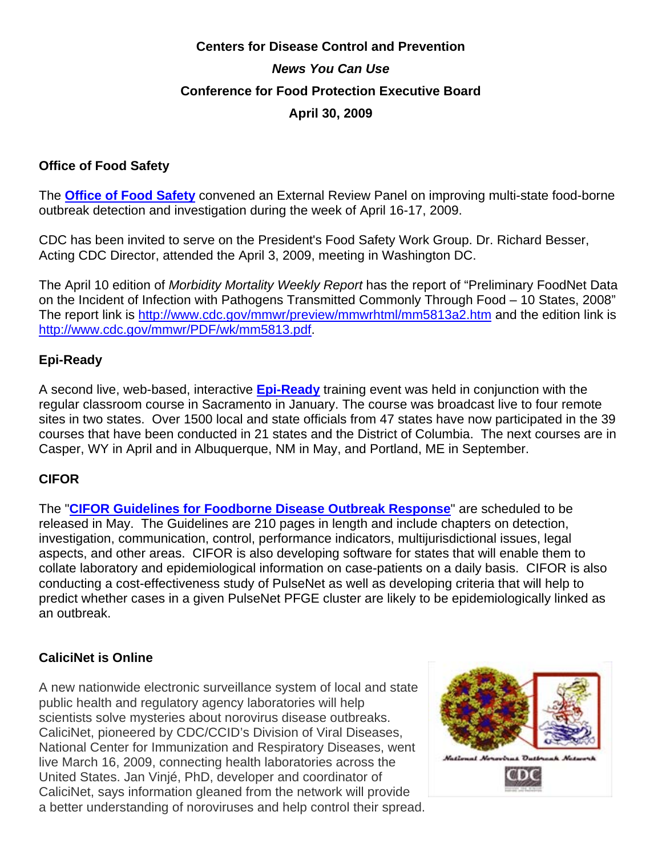# **Centers for Disease Control and Prevention**  *News You Can Use*  **Conference for Food Protection Executive Board April 30, 2009**

# **Office of Food Safety**

The **Office of Food Safety** convened an External Review Panel on improving multi-state food-borne outbreak detection and investigation during the week of April 16-17, 2009.

CDC has been invited to serve on the President's Food Safety Work Group. Dr. Richard Besser, Acting CDC Director, attended the April 3, 2009, meeting in Washington DC.

The April 10 edition of *Morbidity Mortality Weekly Report* has the report of "Preliminary FoodNet Data on the Incident of Infection with Pathogens Transmitted Commonly Through Food – 10 States, 2008" The report link is http://www.cdc.gov/mmwr/preview/mmwrhtml/mm5813a2.htm and the edition link is http://www.cdc.gov/mmwr/PDF/wk/mm5813.pdf.

## **Epi-Ready**

A second live, web-based, interactive **Epi-Ready** training event was held in conjunction with the regular classroom course in Sacramento in January. The course was broadcast live to four remote sites in two states. Over 1500 local and state officials from 47 states have now participated in the 39 courses that have been conducted in 21 states and the District of Columbia. The next courses are in Casper, WY in April and in Albuquerque, NM in May, and Portland, ME in September.

# **CIFOR**

The "**CIFOR Guidelines for Foodborne Disease Outbreak Response**" are scheduled to be released in May. The Guidelines are 210 pages in length and include chapters on detection, investigation, communication, control, performance indicators, multijurisdictional issues, legal aspects, and other areas. CIFOR is also developing software for states that will enable them to collate laboratory and epidemiological information on case-patients on a daily basis. CIFOR is also conducting a cost-effectiveness study of PulseNet as well as developing criteria that will help to predict whether cases in a given PulseNet PFGE cluster are likely to be epidemiologically linked as an outbreak.

# **CaliciNet is Online**

A new nationwide electronic surveillance system of local and state public health and regulatory agency laboratories will help scientists solve mysteries about norovirus disease outbreaks. CaliciNet, pioneered by CDC/CCID's Division of Viral Diseases, National Center for Immunization and Respiratory Diseases, went live March 16, 2009, connecting health laboratories across the United States. Jan Vinjé, PhD, developer and coordinator of CaliciNet, says information gleaned from the network will provide a better understanding of noroviruses and help control their spread.

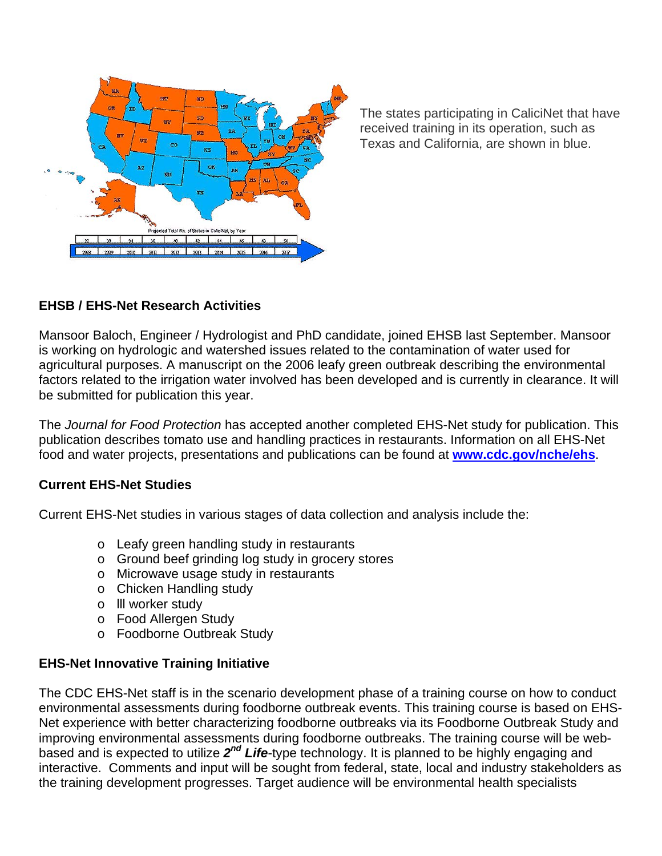

The states participating in CaliciNet that have received training in its operation, such as Texas and California, are shown in blue.

# **EHSB / EHS-Net Research Activities**

Mansoor Baloch, Engineer / Hydrologist and PhD candidate, joined EHSB last September. Mansoor is working on hydrologic and watershed issues related to the contamination of water used for agricultural purposes. A manuscript on the 2006 leafy green outbreak describing the environmental factors related to the irrigation water involved has been developed and is currently in clearance. It will be submitted for publication this year.

The *Journal for Food Protection* has accepted another completed EHS-Net study for publication. This publication describes tomato use and handling practices in restaurants. Information on all EHS-Net food and water projects, presentations and publications can be found at **www.cdc.gov/nche/ehs**.

#### **Current EHS-Net Studies**

Current EHS-Net studies in various stages of data collection and analysis include the:

- o Leafy green handling study in restaurants
- o Ground beef grinding log study in grocery stores
- o Microwave usage study in restaurants
- o Chicken Handling study
- o lll worker study
- o Food Allergen Study
- o Foodborne Outbreak Study

#### **EHS-Net Innovative Training Initiative**

The CDC EHS-Net staff is in the scenario development phase of a training course on how to conduct environmental assessments during foodborne outbreak events. This training course is based on EHS-Net experience with better characterizing foodborne outbreaks via its Foodborne Outbreak Study and improving environmental assessments during foodborne outbreaks. The training course will be webbased and is expected to utilize *2nd Life*-type technology. It is planned to be highly engaging and interactive. Comments and input will be sought from federal, state, local and industry stakeholders as the training development progresses. Target audience will be environmental health specialists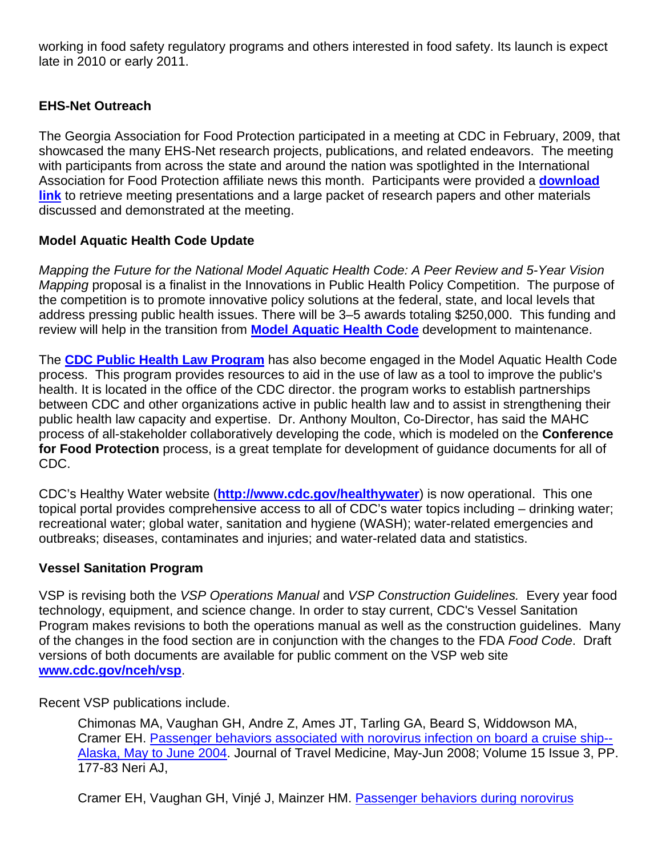working in food safety regulatory programs and others interested in food safety. Its launch is expect late in 2010 or early 2011.

# **EHS-Net Outreach**

The Georgia Association for Food Protection participated in a meeting at CDC in February, 2009, that showcased the many EHS-Net research projects, publications, and related endeavors. The meeting with participants from across the state and around the nation was spotlighted in the International Association for Food Protection affiliate news this month. Participants were provided a **download link** to retrieve meeting presentations and a large packet of research papers and other materials discussed and demonstrated at the meeting.

# **Model Aquatic Health Code Update**

*Mapping the Future for the National Model Aquatic Health Code: A Peer Review and 5-Year Vision Mapping* proposal is a finalist in the Innovations in Public Health Policy Competition. The purpose of the competition is to promote innovative policy solutions at the federal, state, and local levels that address pressing public health issues. There will be 3–5 awards totaling \$250,000. This funding and review will help in the transition from **Model Aquatic Health Code** development to maintenance.

The **CDC Public Health Law Program** has also become engaged in the Model Aquatic Health Code process. This program provides resources to aid in the use of law as a tool to improve the public's health. It is located in the office of the CDC director. the program works to establish partnerships between CDC and other organizations active in public health law and to assist in strengthening their public health law capacity and expertise. Dr. Anthony Moulton, Co-Director, has said the MAHC process of all-stakeholder collaboratively developing the code, which is modeled on the **Conference for Food Protection** process, is a great template for development of guidance documents for all of CDC.

CDC's Healthy Water website (**http://www.cdc.gov/healthywater**) is now operational. This one topical portal provides comprehensive access to all of CDC's water topics including – drinking water; recreational water; global water, sanitation and hygiene (WASH); water-related emergencies and outbreaks; diseases, contaminates and injuries; and water-related data and statistics.

#### **Vessel Sanitation Program**

VSP is revising both the *VSP Operations Manual* and *VSP Construction Guidelines.* Every year food technology, equipment, and science change. In order to stay current, CDC's Vessel Sanitation Program makes revisions to both the operations manual as well as the construction guidelines. Many of the changes in the food section are in conjunction with the changes to the FDA *Food Code*. Draft versions of both documents are available for public comment on the VSP web site **www.cdc.gov/nceh/vsp**.

Recent VSP publications include.

Chimonas MA, Vaughan GH, Andre Z, Ames JT, Tarling GA, Beard S, Widdowson MA, Cramer EH. Passenger behaviors associated with norovirus infection on board a cruise ship-- Alaska, May to June 2004. Journal of Travel Medicine, May-Jun 2008; Volume 15 Issue 3, PP. 177-83 Neri AJ,

Cramer EH, Vaughan GH, Vinjé J, Mainzer HM. Passenger behaviors during norovirus